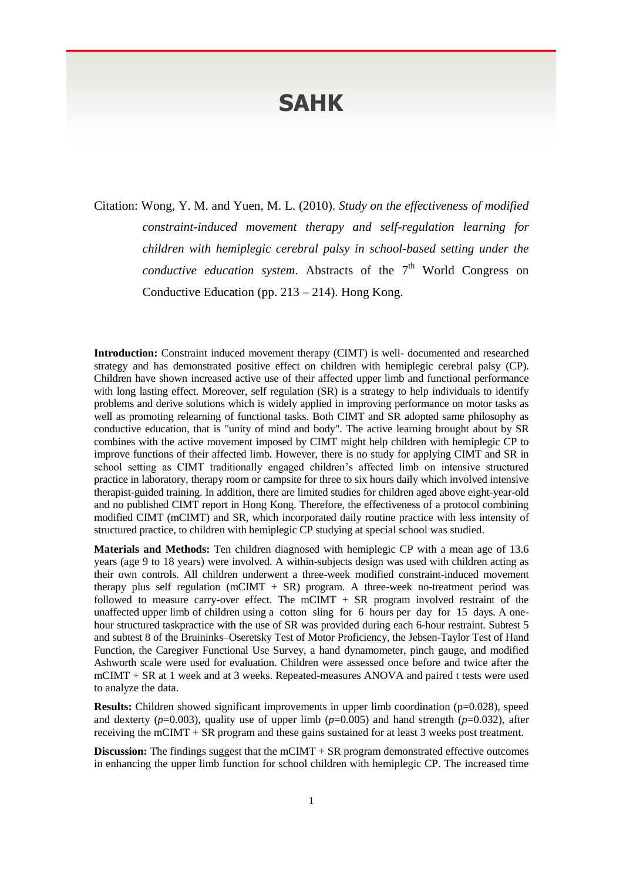## **SAHK**

Citation: Wong, Y. M. and Yuen, M. L. (2010). *Study on the effectiveness of modified constraint-induced movement therapy and self-regulation learning for children with hemiplegic cerebral palsy in school-based setting under the*  conductive education system. Abstracts of the 7<sup>th</sup> World Congress on Conductive Education (pp.  $213 - 214$ ). Hong Kong.

**Introduction:** Constraint induced movement therapy (CIMT) is well- documented and researched strategy and has demonstrated positive effect on children with hemiplegic cerebral palsy (CP). Children have shown increased active use of their affected upper limb and functional performance with long lasting effect. Moreover, self regulation (SR) is a strategy to help individuals to identify problems and derive solutions which is widely applied in improving performance on motor tasks as well as promoting relearning of functional tasks. Both CIMT and SR adopted same philosophy as conductive education, that is "unity of mind and body". The active learning brought about by SR combines with the active movement imposed by CIMT might help children with hemiplegic CP to improve functions of their affected limb. However, there is no study for applying CIMT and SR in school setting as CIMT traditionally engaged children's affected limb on intensive structured practice in laboratory, therapy room or campsite for three to six hours daily which involved intensive therapist-guided training. In addition, there are limited studies for children aged above eight-year-old and no published CIMT report in Hong Kong. Therefore, the effectiveness of a protocol combining modified CIMT (mCIMT) and SR, which incorporated daily routine practice with less intensity of structured practice, to children with hemiplegic CP studying at special school was studied.

**Materials and Methods:** Ten children diagnosed with hemiplegic CP with a mean age of 13.6 years (age 9 to 18 years) were involved. A within-subjects design was used with children acting as their own controls. All children underwent a three-week modified constraint-induced movement therapy plus self regulation (mCIMT + SR) program. A three-week no-treatment period was followed to measure carry-over effect. The mCIMT + SR program involved restraint of the unaffected upper limb of children using a cotton sling for 6 hours per day for 15 days. A onehour structured taskpractice with the use of SR was provided during each 6-hour restraint. Subtest 5 and subtest 8 of the Bruininks–Oseretsky Test of Motor Proficiency, the Jebsen-Taylor Test of Hand Function, the Caregiver Functional Use Survey, a hand dynamometer, pinch gauge, and modified Ashworth scale were used for evaluation. Children were assessed once before and twice after the mCIMT + SR at 1 week and at 3 weeks. Repeated-measures ANOVA and paired t tests were used to analyze the data.

**Results:** Children showed significant improvements in upper limb coordination (p=0.028), speed and dexterty  $(p=0.003)$ , quality use of upper limb  $(p=0.005)$  and hand strength  $(p=0.032)$ , after receiving the mCIMT + SR program and these gains sustained for at least 3 weeks post treatment.

**Discussion:** The findings suggest that the mCIMT + SR program demonstrated effective outcomes in enhancing the upper limb function for school children with hemiplegic CP. The increased time